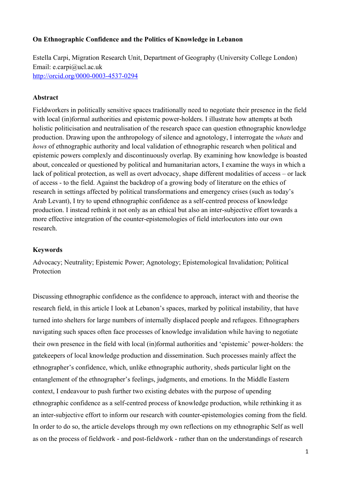## **On Ethnographic Confidence and the Politics of Knowledge in Lebanon**

Estella Carpi, Migration Research Unit, Department of Geography (University College London) Email: e.carpi@ucl.ac.uk http://orcid.org/0000-0003-4537-0294

# **Abstract**

Fieldworkers in politically sensitive spaces traditionally need to negotiate their presence in the field with local (in)formal authorities and epistemic power-holders. I illustrate how attempts at both holistic politicisation and neutralisation of the research space can question ethnographic knowledge production. Drawing upon the anthropology of silence and agnotology, I interrogate the *whats* and *hows* of ethnographic authority and local validation of ethnographic research when political and epistemic powers complexly and discontinuously overlap. By examining how knowledge is boasted about, concealed or questioned by political and humanitarian actors, I examine the ways in which a lack of political protection, as well as overt advocacy, shape different modalities of access – or lack of access - to the field. Against the backdrop of a growing body of literature on the ethics of research in settings affected by political transformations and emergency crises (such as today's Arab Levant), I try to upend ethnographic confidence as a self-centred process of knowledge production. I instead rethink it not only as an ethical but also an inter-subjective effort towards a more effective integration of the counter-epistemologies of field interlocutors into our own research.

## **Keywords**

Advocacy; Neutrality; Epistemic Power; Agnotology; Epistemological Invalidation; Political Protection

Discussing ethnographic confidence as the confidence to approach, interact with and theorise the research field, in this article I look at Lebanon's spaces, marked by political instability, that have turned into shelters for large numbers of internally displaced people and refugees. Ethnographers navigating such spaces often face processes of knowledge invalidation while having to negotiate their own presence in the field with local (in)formal authorities and 'epistemic' power-holders: the gatekeepers of local knowledge production and dissemination. Such processes mainly affect the ethnographer's confidence, which, unlike ethnographic authority, sheds particular light on the entanglement of the ethnographer's feelings, judgments, and emotions. In the Middle Eastern context, I endeavour to push further two existing debates with the purpose of upending ethnographic confidence as a self-centred process of knowledge production, while rethinking it as an inter-subjective effort to inform our research with counter-epistemologies coming from the field. In order to do so, the article develops through my own reflections on my ethnographic Self as well as on the process of fieldwork - and post-fieldwork - rather than on the understandings of research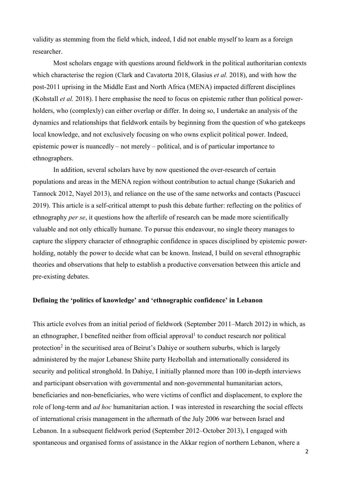validity as stemming from the field which, indeed, I did not enable myself to learn as a foreign researcher.

Most scholars engage with questions around fieldwork in the political authoritarian contexts which characterise the region (Clark and Cavatorta 2018, Glasius *et al.* 2018), and with how the post-2011 uprising in the Middle East and North Africa (MENA) impacted different disciplines (Kohstall *et al.* 2018). I here emphasise the need to focus on epistemic rather than political powerholders, who (complexly) can either overlap or differ. In doing so, I undertake an analysis of the dynamics and relationships that fieldwork entails by beginning from the question of who gatekeeps local knowledge, and not exclusively focusing on who owns explicit political power. Indeed, epistemic power is nuancedly – not merely – political, and is of particular importance to ethnographers.

In addition, several scholars have by now questioned the over-research of certain populations and areas in the MENA region without contribution to actual change (Sukarieh and Tannock 2012, Nayel 2013), and reliance on the use of the same networks and contacts (Pascucci 2019). This article is a self-critical attempt to push this debate further: reflecting on the politics of ethnography *per se*, it questions how the afterlife of research can be made more scientifically valuable and not only ethically humane. To pursue this endeavour, no single theory manages to capture the slippery character of ethnographic confidence in spaces disciplined by epistemic powerholding, notably the power to decide what can be known. Instead, I build on several ethnographic theories and observations that help to establish a productive conversation between this article and pre-existing debates.

# **Defining the 'politics of knowledge' and 'ethnographic confidence' in Lebanon**

This article evolves from an initial period of fieldwork (September 2011–March 2012) in which, as an ethnographer, I benefited neither from official approval<sup>1</sup> to conduct research nor political protection2 in the securitised area of Beirut's Dahiye or southern suburbs, which is largely administered by the major Lebanese Shiite party Hezbollah and internationally considered its security and political stronghold. In Dahiye, I initially planned more than 100 in-depth interviews and participant observation with governmental and non-governmental humanitarian actors, beneficiaries and non-beneficiaries, who were victims of conflict and displacement, to explore the role of long-term and *ad hoc* humanitarian action. I was interested in researching the social effects of international crisis management in the aftermath of the July 2006 war between Israel and Lebanon. In a subsequent fieldwork period (September 2012–October 2013), I engaged with spontaneous and organised forms of assistance in the Akkar region of northern Lebanon, where a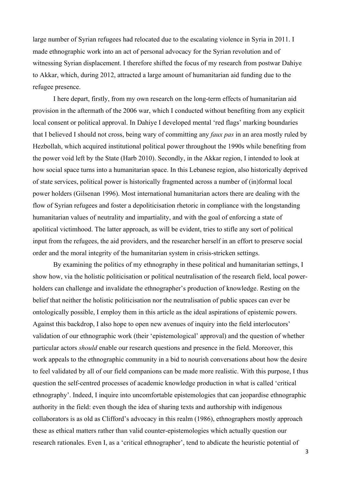large number of Syrian refugees had relocated due to the escalating violence in Syria in 2011. I made ethnographic work into an act of personal advocacy for the Syrian revolution and of witnessing Syrian displacement. I therefore shifted the focus of my research from postwar Dahiye to Akkar, which, during 2012, attracted a large amount of humanitarian aid funding due to the refugee presence.

I here depart, firstly, from my own research on the long-term effects of humanitarian aid provision in the aftermath of the 2006 war, which I conducted without benefiting from any explicit local consent or political approval. In Dahiye I developed mental 'red flags' marking boundaries that I believed I should not cross, being wary of committing any *faux pas* in an area mostly ruled by Hezbollah, which acquired institutional political power throughout the 1990s while benefiting from the power void left by the State (Harb 2010). Secondly, in the Akkar region, I intended to look at how social space turns into a humanitarian space. In this Lebanese region, also historically deprived of state services, political power is historically fragmented across a number of (in)formal local power holders (Gilsenan 1996). Most international humanitarian actors there are dealing with the flow of Syrian refugees and foster a depoliticisation rhetoric in compliance with the longstanding humanitarian values of neutrality and impartiality, and with the goal of enforcing a state of apolitical victimhood. The latter approach, as will be evident, tries to stifle any sort of political input from the refugees, the aid providers, and the researcher herself in an effort to preserve social order and the moral integrity of the humanitarian system in crisis-stricken settings.

By examining the politics of my ethnography in these political and humanitarian settings, I show how, via the holistic politicisation or political neutralisation of the research field, local powerholders can challenge and invalidate the ethnographer's production of knowledge. Resting on the belief that neither the holistic politicisation nor the neutralisation of public spaces can ever be ontologically possible, I employ them in this article as the ideal aspirations of epistemic powers. Against this backdrop, I also hope to open new avenues of inquiry into the field interlocutors' validation of our ethnographic work (their 'epistemological' approval) and the question of whether particular actors *should* enable our research questions and presence in the field. Moreover, this work appeals to the ethnographic community in a bid to nourish conversations about how the desire to feel validated by all of our field companions can be made more realistic. With this purpose, I thus question the self-centred processes of academic knowledge production in what is called 'critical ethnography'. Indeed, I inquire into uncomfortable epistemologies that can jeopardise ethnographic authority in the field: even though the idea of sharing texts and authorship with indigenous collaborators is as old as Clifford's advocacy in this realm (1986), ethnographers mostly approach these as ethical matters rather than valid counter-epistemologies which actually question our research rationales. Even I, as a 'critical ethnographer', tend to abdicate the heuristic potential of

3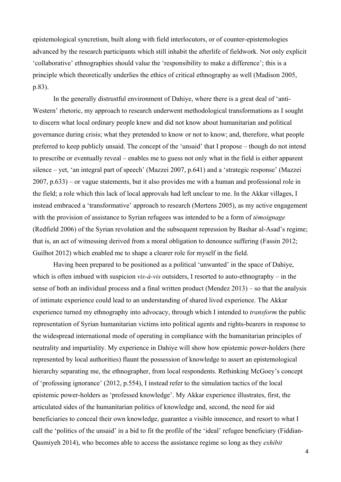epistemological syncretism, built along with field interlocutors, or of counter-epistemologies advanced by the research participants which still inhabit the afterlife of fieldwork. Not only explicit 'collaborative' ethnographies should value the 'responsibility to make a difference'; this is a principle which theoretically underlies the ethics of critical ethnography as well (Madison 2005, p.83).

In the generally distrustful environment of Dahiye, where there is a great deal of 'anti-Western' rhetoric, my approach to research underwent methodological transformations as I sought to discern what local ordinary people knew and did not know about humanitarian and political governance during crisis; what they pretended to know or not to know; and, therefore, what people preferred to keep publicly unsaid. The concept of the 'unsaid' that I propose – though do not intend to prescribe or eventually reveal – enables me to guess not only what in the field is either apparent silence – yet, 'an integral part of speech' (Mazzei 2007, p.641) and a 'strategic response' (Mazzei 2007, p.633) – or vague statements, but it also provides me with a human and professional role in the field; a role which this lack of local approvals had left unclear to me. In the Akkar villages, I instead embraced a 'transformative' approach to research (Mertens 2005), as my active engagement with the provision of assistance to Syrian refugees was intended to be a form of *témoignage* (Redfield 2006) of the Syrian revolution and the subsequent repression by Bashar al-Asad's regime; that is, an act of witnessing derived from a moral obligation to denounce suffering (Fassin 2012; Guilhot 2012) which enabled me to shape a clearer role for myself in the field.

Having been prepared to be positioned as a political 'unwanted' in the space of Dahiye, which is often imbued with suspicion *vis-à-vis* outsiders, I resorted to auto-ethnography – in the sense of both an individual process and a final written product (Mendez 2013) – so that the analysis of intimate experience could lead to an understanding of shared lived experience. The Akkar experience turned my ethnography into advocacy, through which I intended to *transform* the public representation of Syrian humanitarian victims into political agents and rights-bearers in response to the widespread international mode of operating in compliance with the humanitarian principles of neutrality and impartiality. My experience in Dahiye will show how epistemic power-holders (here represented by local authorities) flaunt the possession of knowledge to assert an epistemological hierarchy separating me, the ethnographer, from local respondents. Rethinking McGoey's concept of 'professing ignorance' (2012, p.554), I instead refer to the simulation tactics of the local epistemic power-holders as 'professed knowledge'. My Akkar experience illustrates, first, the articulated sides of the humanitarian politics of knowledge and, second, the need for aid beneficiaries to conceal their own knowledge, guarantee a visible innocence, and resort to what I call the 'politics of the unsaid' in a bid to fit the profile of the 'ideal' refugee beneficiary (Fiddian-Qasmiyeh 2014), who becomes able to access the assistance regime so long as they *exhibit*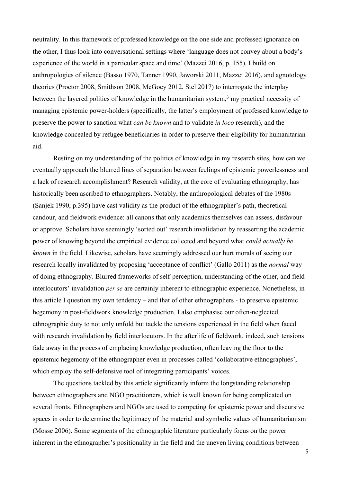neutrality. In this framework of professed knowledge on the one side and professed ignorance on the other, I thus look into conversational settings where 'language does not convey about a body's experience of the world in a particular space and time' (Mazzei 2016, p. 155). I build on anthropologies of silence (Basso 1970, Tanner 1990, Jaworski 2011, Mazzei 2016), and agnotology theories (Proctor 2008, Smithson 2008, McGoey 2012, Stel 2017) to interrogate the interplay between the layered politics of knowledge in the humanitarian system,<sup>3</sup> my practical necessity of managing epistemic power-holders (specifically, the latter's employment of professed knowledge to preserve the power to sanction what *can be known* and to validate *in loco* research), and the knowledge concealed by refugee beneficiaries in order to preserve their eligibility for humanitarian aid.

Resting on my understanding of the politics of knowledge in my research sites, how can we eventually approach the blurred lines of separation between feelings of epistemic powerlessness and a lack of research accomplishment? Research validity, at the core of evaluating ethnography, has historically been ascribed to ethnographers. Notably, the anthropological debates of the 1980s (Sanjek 1990, p.395) have cast validity as the product of the ethnographer's path, theoretical candour, and fieldwork evidence: all canons that only academics themselves can assess, disfavour or approve. Scholars have seemingly 'sorted out' research invalidation by reasserting the academic power of knowing beyond the empirical evidence collected and beyond what *could actually be known* in the field. Likewise, scholars have seemingly addressed our hurt morals of seeing our research locally invalidated by proposing 'acceptance of conflict' (Gallo 2011) as the *normal* way of doing ethnography. Blurred frameworks of self-perception, understanding of the other, and field interlocutors' invalidation *per se* are certainly inherent to ethnographic experience. Nonetheless, in this article I question my own tendency – and that of other ethnographers - to preserve epistemic hegemony in post-fieldwork knowledge production. I also emphasise our often-neglected ethnographic duty to not only unfold but tackle the tensions experienced in the field when faced with research invalidation by field interlocutors. In the afterlife of fieldwork, indeed, such tensions fade away in the process of emplacing knowledge production, often leaving the floor to the epistemic hegemony of the ethnographer even in processes called 'collaborative ethnographies', which employ the self-defensive tool of integrating participants' voices.

The questions tackled by this article significantly inform the longstanding relationship between ethnographers and NGO practitioners, which is well known for being complicated on several fronts. Ethnographers and NGOs are used to competing for epistemic power and discursive spaces in order to determine the legitimacy of the material and symbolic values of humanitarianism (Mosse 2006). Some segments of the ethnographic literature particularly focus on the power inherent in the ethnographer's positionality in the field and the uneven living conditions between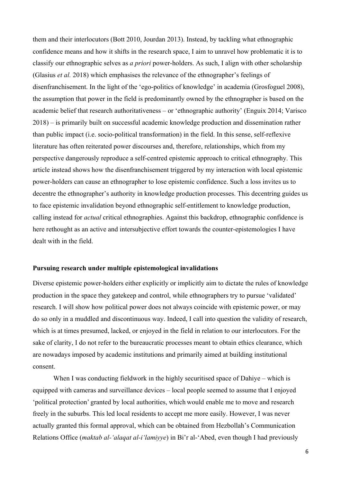them and their interlocutors (Bott 2010, Jourdan 2013). Instead, by tackling what ethnographic confidence means and how it shifts in the research space, I aim to unravel how problematic it is to classify our ethnographic selves as *a priori* power-holders. As such, I align with other scholarship (Glasius *et al.* 2018) which emphasises the relevance of the ethnographer's feelings of disenfranchisement. In the light of the 'ego-politics of knowledge' in academia (Grosfoguel 2008), the assumption that power in the field is predominantly owned by the ethnographer is based on the academic belief that research authoritativeness – or 'ethnographic authority' (Enguix 2014; Varisco 2018) – is primarily built on successful academic knowledge production and dissemination rather than public impact (i.e. socio-political transformation) in the field. In this sense, self-reflexive literature has often reiterated power discourses and, therefore, relationships, which from my perspective dangerously reproduce a self-centred epistemic approach to critical ethnography. This article instead shows how the disenfranchisement triggered by my interaction with local epistemic power-holders can cause an ethnographer to lose epistemic confidence. Such a loss invites us to decentre the ethnographer's authority in knowledge production processes. This decentring guides us to face epistemic invalidation beyond ethnographic self-entitlement to knowledge production, calling instead for *actual* critical ethnographies. Against this backdrop, ethnographic confidence is here rethought as an active and intersubjective effort towards the counter-epistemologies I have dealt with in the field.

## **Pursuing research under multiple epistemological invalidations**

Diverse epistemic power-holders either explicitly or implicitly aim to dictate the rules of knowledge production in the space they gatekeep and control, while ethnographers try to pursue 'validated' research. I will show how political power does not always coincide with epistemic power, or may do so only in a muddled and discontinuous way. Indeed, I call into question the validity of research, which is at times presumed, lacked, or enjoyed in the field in relation to our interlocutors. For the sake of clarity, I do not refer to the bureaucratic processes meant to obtain ethics clearance, which are nowadays imposed by academic institutions and primarily aimed at building institutional consent.

When I was conducting fieldwork in the highly securitised space of Dahiye – which is equipped with cameras and surveillance devices – local people seemed to assume that I enjoyed 'political protection' granted by local authorities, which would enable me to move and research freely in the suburbs. This led local residents to accept me more easily. However, I was never actually granted this formal approval, which can be obtained from Hezbollah's Communication Relations Office (*maktab al-'alaqat al-i'lamiyye*) in Bi'r al-'Abed, even though I had previously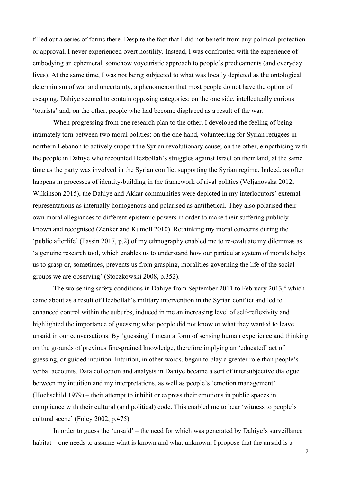filled out a series of forms there. Despite the fact that I did not benefit from any political protection or approval, I never experienced overt hostility. Instead, I was confronted with the experience of embodying an ephemeral, somehow voyeuristic approach to people's predicaments (and everyday lives). At the same time, I was not being subjected to what was locally depicted as the ontological determinism of war and uncertainty, a phenomenon that most people do not have the option of escaping. Dahiye seemed to contain opposing categories: on the one side, intellectually curious 'tourists' and, on the other, people who had become displaced as a result of the war.

When progressing from one research plan to the other, I developed the feeling of being intimately torn between two moral polities: on the one hand, volunteering for Syrian refugees in northern Lebanon to actively support the Syrian revolutionary cause; on the other, empathising with the people in Dahiye who recounted Hezbollah's struggles against Israel on their land, at the same time as the party was involved in the Syrian conflict supporting the Syrian regime. Indeed, as often happens in processes of identity-building in the framework of rival polities (Veljanovska 2012; Wilkinson 2015), the Dahiye and Akkar communities were depicted in my interlocutors' external representations as internally homogenous and polarised as antithetical. They also polarised their own moral allegiances to different epistemic powers in order to make their suffering publicly known and recognised (Zenker and Kumoll 2010). Rethinking my moral concerns during the 'public afterlife' (Fassin 2017, p.2) of my ethnography enabled me to re-evaluate my dilemmas as 'a genuine research tool, which enables us to understand how our particular system of morals helps us to grasp or, sometimes, prevents us from grasping, moralities governing the life of the social groups we are observing' (Stoczkowski 2008, p.352).

The worsening safety conditions in Dahiye from September 2011 to February 2013,<sup>4</sup> which came about as a result of Hezbollah's military intervention in the Syrian conflict and led to enhanced control within the suburbs, induced in me an increasing level of self-reflexivity and highlighted the importance of guessing what people did not know or what they wanted to leave unsaid in our conversations. By 'guessing' I mean a form of sensing human experience and thinking on the grounds of previous fine-grained knowledge, therefore implying an 'educated' act of guessing, or guided intuition. Intuition, in other words, began to play a greater role than people's verbal accounts. Data collection and analysis in Dahiye became a sort of intersubjective dialogue between my intuition and my interpretations, as well as people's 'emotion management' (Hochschild 1979) – their attempt to inhibit or express their emotions in public spaces in compliance with their cultural (and political) code. This enabled me to bear 'witness to people's cultural scene' (Foley 2002, p.475).

In order to guess the 'unsaid' – the need for which was generated by Dahiye's surveillance habitat – one needs to assume what is known and what unknown. I propose that the unsaid is a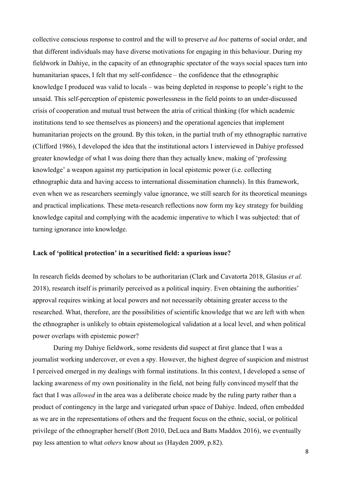collective conscious response to control and the will to preserve *ad hoc* patterns of social order, and that different individuals may have diverse motivations for engaging in this behaviour. During my fieldwork in Dahiye, in the capacity of an ethnographic spectator of the ways social spaces turn into humanitarian spaces, I felt that my self-confidence – the confidence that the ethnographic knowledge I produced was valid to locals – was being depleted in response to people's right to the unsaid. This self-perception of epistemic powerlessness in the field points to an under-discussed crisis of cooperation and mutual trust between the atria of critical thinking (for which academic institutions tend to see themselves as pioneers) and the operational agencies that implement humanitarian projects on the ground. By this token, in the partial truth of my ethnographic narrative (Clifford 1986), I developed the idea that the institutional actors I interviewed in Dahiye professed greater knowledge of what I was doing there than they actually knew, making of 'professing knowledge' a weapon against my participation in local epistemic power (i.e. collecting ethnographic data and having access to international dissemination channels). In this framework, even when we as researchers seemingly value ignorance, we still search for its theoretical meanings and practical implications. These meta-research reflections now form my key strategy for building knowledge capital and complying with the academic imperative to which I was subjected: that of turning ignorance into knowledge.

## **Lack of 'political protection' in a securitised field: a spurious issue?**

In research fields deemed by scholars to be authoritarian (Clark and Cavatorta 2018, Glasius *et al.* 2018), research itself is primarily perceived as a political inquiry. Even obtaining the authorities' approval requires winking at local powers and not necessarily obtaining greater access to the researched. What, therefore, are the possibilities of scientific knowledge that we are left with when the ethnographer is unlikely to obtain epistemological validation at a local level, and when political power overlaps with epistemic power?

During my Dahiye fieldwork, some residents did suspect at first glance that I was a journalist working undercover, or even a spy*.* However, the highest degree of suspicion and mistrust I perceived emerged in my dealings with formal institutions. In this context, I developed a sense of lacking awareness of my own positionality in the field, not being fully convinced myself that the fact that I was *allowed* in the area was a deliberate choice made by the ruling party rather than a product of contingency in the large and variegated urban space of Dahiye. Indeed, often embedded as we are in the representations of others and the frequent focus on the ethnic, social, or political privilege of the ethnographer herself (Bott 2010, DeLuca and Batts Maddox 2016), we eventually pay less attention to what *others* know about *us* (Hayden 2009, p.82).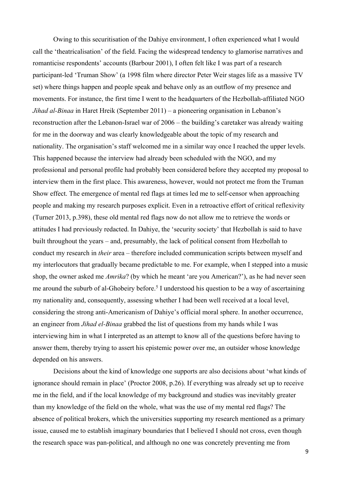Owing to this securitisation of the Dahiye environment, I often experienced what I would call the 'theatricalisation' of the field. Facing the widespread tendency to glamorise narratives and romanticise respondents' accounts (Barbour 2001), I often felt like I was part of a research participant-led 'Truman Show' (a 1998 film where director Peter Weir stages life as a massive TV set) where things happen and people speak and behave only as an outflow of my presence and movements. For instance, the first time I went to the headquarters of the Hezbollah-affiliated NGO *Jihad al-Binaa* in Haret Hreik (September 2011) – a pioneering organisation in Lebanon's reconstruction after the Lebanon-Israel war of 2006 – the building's caretaker was already waiting for me in the doorway and was clearly knowledgeable about the topic of my research and nationality. The organisation's staff welcomed me in a similar way once I reached the upper levels. This happened because the interview had already been scheduled with the NGO, and my professional and personal profile had probably been considered before they accepted my proposal to interview them in the first place. This awareness, however, would not protect me from the Truman Show effect. The emergence of mental red flags at times led me to self-censor when approaching people and making my research purposes explicit. Even in a retroactive effort of critical reflexivity (Turner 2013, p.398), these old mental red flags now do not allow me to retrieve the words or attitudes I had previously redacted. In Dahiye, the 'security society' that Hezbollah is said to have built throughout the years – and, presumably, the lack of political consent from Hezbollah to conduct my research in *their* area – therefore included communication scripts between myself and my interlocutors that gradually became predictable to me. For example, when I stepped into a music shop, the owner asked me *Amrika*? (by which he meant 'are you American?'), as he had never seen me around the suburb of al-Ghobeiry before.<sup>5</sup> I understood his question to be a way of ascertaining my nationality and, consequently, assessing whether I had been well received at a local level, considering the strong anti-Americanism of Dahiye's official moral sphere. In another occurrence, an engineer from *Jihad el-Binaa* grabbed the list of questions from my hands while I was interviewing him in what I interpreted as an attempt to know all of the questions before having to answer them, thereby trying to assert his epistemic power over me, an outsider whose knowledge depended on his answers.

Decisions about the kind of knowledge one supports are also decisions about 'what kinds of ignorance should remain in place' (Proctor 2008, p.26). If everything was already set up to receive me in the field, and if the local knowledge of my background and studies was inevitably greater than my knowledge of the field on the whole, what was the use of my mental red flags? The absence of political brokers, which the universities supporting my research mentioned as a primary issue, caused me to establish imaginary boundaries that I believed I should not cross, even though the research space was pan-political, and although no one was concretely preventing me from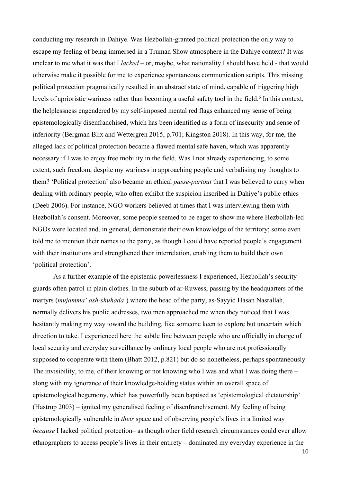conducting my research in Dahiye. Was Hezbollah-granted political protection the only way to escape my feeling of being immersed in a Truman Show atmosphere in the Dahiye context? It was unclear to me what it was that I *lacked –* or, maybe, what nationality I should have held - that would otherwise make it possible for me to experience spontaneous communication scripts. This missing political protection pragmatically resulted in an abstract state of mind, capable of triggering high levels of aprioristic wariness rather than becoming a useful safety tool in the field.<sup>6</sup> In this context, the helplessness engendered by my self-imposed mental red flags enhanced my sense of being epistemologically disenfranchised, which has been identified as a form of insecurity and sense of inferiority (Bergman Blix and Wettergren 2015, p.701; Kingston 2018). In this way, for me, the alleged lack of political protection became a flawed mental safe haven, which was apparently necessary if I was to enjoy free mobility in the field. Was I not already experiencing, to some extent, such freedom, despite my wariness in approaching people and verbalising my thoughts to them? 'Political protection' also became an ethical *passe-partout* that I was believed to carry when dealing with ordinary people, who often exhibit the suspicion inscribed in Dahiye's public ethics (Deeb 2006). For instance, NGO workers believed at times that I was interviewing them with Hezbollah's consent. Moreover, some people seemed to be eager to show me where Hezbollah-led NGOs were located and, in general, demonstrate their own knowledge of the territory; some even told me to mention their names to the party, as though I could have reported people's engagement with their institutions and strengthened their interrelation, enabling them to build their own 'political protection'.

As a further example of the epistemic powerlessness I experienced, Hezbollah's security guards often patrol in plain clothes. In the suburb of ar-Ruwess, passing by the headquarters of the martyrs (*mujamma' ash-shuhada'*) where the head of the party, as-Sayyid Hasan Nasrallah, normally delivers his public addresses, two men approached me when they noticed that I was hesitantly making my way toward the building, like someone keen to explore but uncertain which direction to take. I experienced here the subtle line between people who are officially in charge of local security and everyday surveillance by ordinary local people who are not professionally supposed to cooperate with them (Bhatt 2012, p.821) but do so nonetheless, perhaps spontaneously. The invisibility, to me, of their knowing or not knowing who I was and what I was doing there – along with my ignorance of their knowledge-holding status within an overall space of epistemological hegemony, which has powerfully been baptised as 'epistemological dictatorship' (Hastrup 2003) – ignited my generalised feeling of disenfranchisement. My feeling of being epistemologically vulnerable in *their* space and of observing people's lives in a limited way *because* I lacked political protection– as though other field research circumstances could ever allow ethnographers to access people's lives in their entirety – dominated my everyday experience in the

10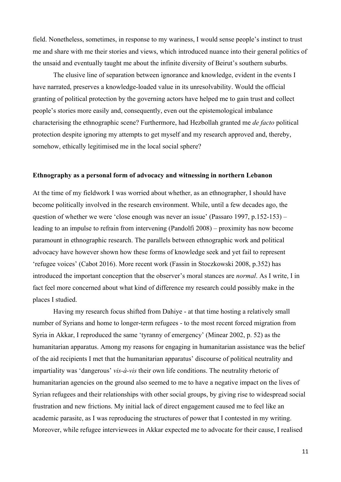field. Nonetheless, sometimes, in response to my wariness, I would sense people's instinct to trust me and share with me their stories and views, which introduced nuance into their general politics of the unsaid and eventually taught me about the infinite diversity of Beirut's southern suburbs.

The elusive line of separation between ignorance and knowledge, evident in the events I have narrated, preserves a knowledge-loaded value in its unresolvability. Would the official granting of political protection by the governing actors have helped me to gain trust and collect people's stories more easily and, consequently, even out the epistemological imbalance characterising the ethnographic scene? Furthermore, had Hezbollah granted me *de facto* political protection despite ignoring my attempts to get myself and my research approved and, thereby, somehow, ethically legitimised me in the local social sphere?

#### **Ethnography as a personal form of advocacy and witnessing in northern Lebanon**

At the time of my fieldwork I was worried about whether, as an ethnographer, I should have become politically involved in the research environment. While, until a few decades ago, the question of whether we were 'close enough was never an issue' (Passaro 1997, p.152-153) – leading to an impulse to refrain from intervening (Pandolfi 2008) – proximity has now become paramount in ethnographic research. The parallels between ethnographic work and political advocacy have however shown how these forms of knowledge seek and yet fail to represent 'refugee voices' (Cabot 2016). More recent work (Fassin in Stoczkowski 2008, p.352) has introduced the important conception that the observer's moral stances are *normal*. As I write, I in fact feel more concerned about what kind of difference my research could possibly make in the places I studied.

Having my research focus shifted from Dahiye - at that time hosting a relatively small number of Syrians and home to longer-term refugees - to the most recent forced migration from Syria in Akkar, I reproduced the same 'tyranny of emergency' (Minear 2002, p. 52) as the humanitarian apparatus. Among my reasons for engaging in humanitarian assistance was the belief of the aid recipients I met that the humanitarian apparatus' discourse of political neutrality and impartiality was 'dangerous' *vis-à-vis* their own life conditions. The neutrality rhetoric of humanitarian agencies on the ground also seemed to me to have a negative impact on the lives of Syrian refugees and their relationships with other social groups, by giving rise to widespread social frustration and new frictions. My initial lack of direct engagement caused me to feel like an academic parasite, as I was reproducing the structures of power that I contested in my writing. Moreover, while refugee interviewees in Akkar expected me to advocate for their cause, I realised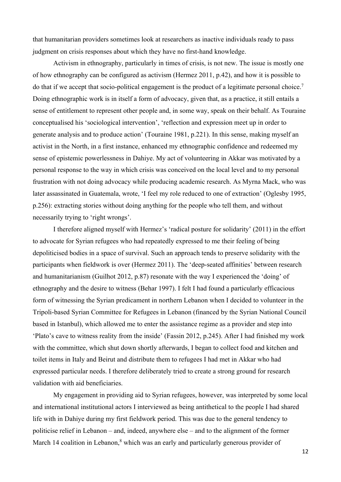that humanitarian providers sometimes look at researchers as inactive individuals ready to pass judgment on crisis responses about which they have no first-hand knowledge.

Activism in ethnography, particularly in times of crisis, is not new. The issue is mostly one of how ethnography can be configured as activism (Hermez 2011, p.42), and how it is possible to do that if we accept that socio-political engagement is the product of a legitimate personal choice.7 Doing ethnographic work is in itself a form of advocacy, given that, as a practice, it still entails a sense of entitlement to represent other people and, in some way, speak on their behalf. As Touraine conceptualised his 'sociological intervention', 'reflection and expression meet up in order to generate analysis and to produce action' (Touraine 1981, p.221). In this sense, making myself an activist in the North, in a first instance, enhanced my ethnographic confidence and redeemed my sense of epistemic powerlessness in Dahiye. My act of volunteering in Akkar was motivated by a personal response to the way in which crisis was conceived on the local level and to my personal frustration with not doing advocacy while producing academic research. As Myrna Mack, who was later assassinated in Guatemala, wrote, 'I feel my role reduced to one of extraction' (Oglesby 1995, p.256): extracting stories without doing anything for the people who tell them, and without necessarily trying to 'right wrongs'.

I therefore aligned myself with Hermez's 'radical posture for solidarity' (2011) in the effort to advocate for Syrian refugees who had repeatedly expressed to me their feeling of being depoliticised bodies in a space of survival. Such an approach tends to preserve solidarity with the participants when fieldwork is over (Hermez 2011). The 'deep-seated affinities' between research and humanitarianism (Guilhot 2012, p.87) resonate with the way I experienced the 'doing' of ethnography and the desire to witness (Behar 1997). I felt I had found a particularly efficacious form of witnessing the Syrian predicament in northern Lebanon when I decided to volunteer in the Tripoli-based Syrian Committee for Refugees in Lebanon (financed by the Syrian National Council based in Istanbul), which allowed me to enter the assistance regime as a provider and step into 'Plato's cave to witness reality from the inside' (Fassin 2012, p.245). After I had finished my work with the committee, which shut down shortly afterwards, I began to collect food and kitchen and toilet items in Italy and Beirut and distribute them to refugees I had met in Akkar who had expressed particular needs. I therefore deliberately tried to create a strong ground for research validation with aid beneficiaries.

My engagement in providing aid to Syrian refugees, however, was interpreted by some local and international institutional actors I interviewed as being antithetical to the people I had shared life with in Dahiye during my first fieldwork period. This was due to the general tendency to politicise relief in Lebanon – and, indeed, anywhere else – and to the alignment of the former March 14 coalition in Lebanon, $\delta$  which was an early and particularly generous provider of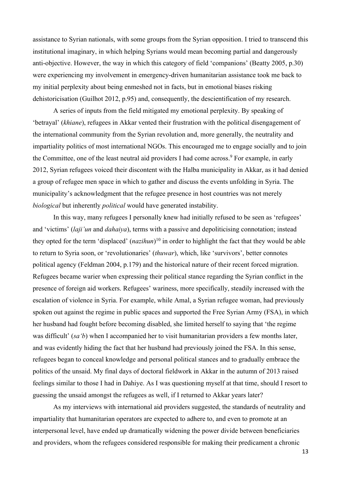assistance to Syrian nationals, with some groups from the Syrian opposition. I tried to transcend this institutional imaginary, in which helping Syrians would mean becoming partial and dangerously anti-objective. However, the way in which this category of field 'companions' (Beatty 2005, p.30) were experiencing my involvement in emergency-driven humanitarian assistance took me back to my initial perplexity about being enmeshed not in facts, but in emotional biases risking dehistoricisation (Guilhot 2012, p.95) and, consequently, the descientification of my research.

A series of inputs from the field mitigated my emotional perplexity. By speaking of 'betrayal' (*khiane*), refugees in Akkar vented their frustration with the political disengagement of the international community from the Syrian revolution and, more generally, the neutrality and impartiality politics of most international NGOs. This encouraged me to engage socially and to join the Committee, one of the least neutral aid providers I had come across.<sup>9</sup> For example, in early 2012, Syrian refugees voiced their discontent with the Halba municipality in Akkar, as it had denied a group of refugee men space in which to gather and discuss the events unfolding in Syria. The municipality's acknowledgment that the refugee presence in host countries was not merely *biological* but inherently *political* would have generated instability.

In this way, many refugees I personally knew had initially refused to be seen as 'refugees' and 'victims' (*laji'un* and *dahaiya*), terms with a passive and depoliticising connotation; instead they opted for the term 'displaced' (*nazihun*) <sup>10</sup> in order to highlight the fact that they would be able to return to Syria soon, or 'revolutionaries' (*thuwar*), which, like 'survivors', better connotes political agency (Feldman 2004, p.179) and the historical nature of their recent forced migration. Refugees became warier when expressing their political stance regarding the Syrian conflict in the presence of foreign aid workers. Refugees' wariness, more specifically, steadily increased with the escalation of violence in Syria. For example, while Amal, a Syrian refugee woman, had previously spoken out against the regime in public spaces and supported the Free Syrian Army (FSA), in which her husband had fought before becoming disabled, she limited herself to saying that 'the regime was difficult' (*sa'b*) when I accompanied her to visit humanitarian providers a few months later, and was evidently hiding the fact that her husband had previously joined the FSA. In this sense, refugees began to conceal knowledge and personal political stances and to gradually embrace the politics of the unsaid. My final days of doctoral fieldwork in Akkar in the autumn of 2013 raised feelings similar to those I had in Dahiye. As I was questioning myself at that time, should I resort to guessing the unsaid amongst the refugees as well, if I returned to Akkar years later?

As my interviews with international aid providers suggested, the standards of neutrality and impartiality that humanitarian operators are expected to adhere to, and even to promote at an interpersonal level, have ended up dramatically widening the power divide between beneficiaries and providers, whom the refugees considered responsible for making their predicament a chronic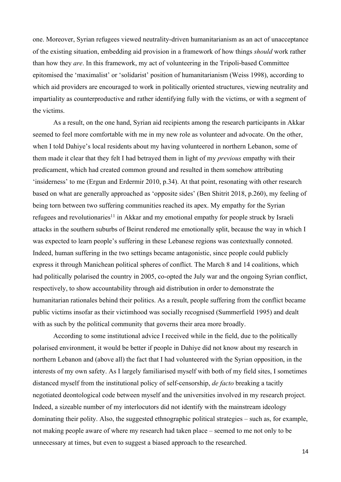one. Moreover, Syrian refugees viewed neutrality-driven humanitarianism as an act of unacceptance of the existing situation, embedding aid provision in a framework of how things *should* work rather than how they *are*. In this framework, my act of volunteering in the Tripoli-based Committee epitomised the 'maximalist' or 'solidarist' position of humanitarianism (Weiss 1998), according to which aid providers are encouraged to work in politically oriented structures, viewing neutrality and impartiality as counterproductive and rather identifying fully with the victims, or with a segment of the victims.

As a result, on the one hand, Syrian aid recipients among the research participants in Akkar seemed to feel more comfortable with me in my new role as volunteer and advocate. On the other, when I told Dahiye's local residents about my having volunteered in northern Lebanon, some of them made it clear that they felt I had betrayed them in light of my *previous* empathy with their predicament, which had created common ground and resulted in them somehow attributing 'insiderness' to me (Ergun and Erdermir 2010, p.34). At that point, resonating with other research based on what are generally approached as 'opposite sides' (Ben Shitrit 2018, p.260), my feeling of being torn between two suffering communities reached its apex. My empathy for the Syrian refugees and revolutionaries<sup>11</sup> in Akkar and my emotional empathy for people struck by Israeli attacks in the southern suburbs of Beirut rendered me emotionally split, because the way in which I was expected to learn people's suffering in these Lebanese regions was contextually connoted. Indeed, human suffering in the two settings became antagonistic, since people could publicly express it through Manichean political spheres of conflict. The March 8 and 14 coalitions, which had politically polarised the country in 2005, co-opted the July war and the ongoing Syrian conflict, respectively, to show accountability through aid distribution in order to demonstrate the humanitarian rationales behind their politics. As a result, people suffering from the conflict became public victims insofar as their victimhood was socially recognised (Summerfield 1995) and dealt with as such by the political community that governs their area more broadly.

According to some institutional advice I received while in the field, due to the politically polarised environment, it would be better if people in Dahiye did not know about my research in northern Lebanon and (above all) the fact that I had volunteered with the Syrian opposition, in the interests of my own safety. As I largely familiarised myself with both of my field sites, I sometimes distanced myself from the institutional policy of self-censorship, *de facto* breaking a tacitly negotiated deontological code between myself and the universities involved in my research project. Indeed, a sizeable number of my interlocutors did not identify with the mainstream ideology dominating their polity. Also, the suggested ethnographic political strategies – such as, for example, not making people aware of where my research had taken place – seemed to me not only to be unnecessary at times, but even to suggest a biased approach to the researched.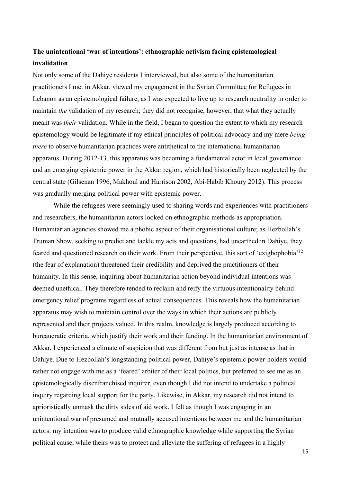# **The unintentional 'war of intentions': ethnographic activism facing epistemological invalidation**

Not only some of the Dahiye residents I interviewed, but also some of the humanitarian practitioners I met in Akkar, viewed my engagement in the Syrian Committee for Refugees in Lebanon as an epistemological failure, as I was expected to live up to research neutrality in order to maintain *the* validation of my research; they did not recognise, however, that what they actually meant was *their* validation. While in the field, I began to question the extent to which my research epistemology would be legitimate if my ethical principles of political advocacy and my mere *being there* to observe humanitarian practices were antithetical to the international humanitarian apparatus. During 2012-13, this apparatus was becoming a fundamental actor in local governance and an emerging epistemic power in the Akkar region, which had historically been neglected by the central state (Gilsenan 1996, Makhoul and Harrison 2002, Abi-Habib Khoury 2012). This process was gradually merging political power with epistemic power.

While the refugees were seemingly used to sharing words and experiences with practitioners and researchers, the humanitarian actors looked on ethnographic methods as appropriation. Humanitarian agencies showed me a phobic aspect of their organisational culture; as Hezbollah's Truman Show, seeking to predict and tackle my acts and questions, had unearthed in Dahiye, they feared and questioned research on their work. From their perspective, this sort of 'exighophobia'<sup>12</sup> (the fear of explanation) threatened their credibility and deprived the practitioners of their humanity. In this sense, inquiring about humanitarian action beyond individual intentions was deemed unethical. They therefore tended to reclaim and reify the virtuous intentionality behind emergency relief programs regardless of actual consequences. This reveals how the humanitarian apparatus may wish to maintain control over the ways in which their actions are publicly represented and their projects valued. In this realm, knowledge is largely produced according to bureaucratic criteria, which justify their work and their funding. In the humanitarian environment of Akkar, I experienced a climate of suspicion that was different from but just as intense as that in Dahiye. Due to Hezbollah's longstanding political power, Dahiye's epistemic power-holders would rather not engage with me as a 'feared' arbiter of their local politics, but preferred to see me as an epistemologically disenfranchised inquirer, even though I did not intend to undertake a political inquiry regarding local support for the party. Likewise, in Akkar, my research did not intend to aprioristically unmask the dirty sides of aid work. I felt as though I was engaging in an unintentional war of presumed and mutually accused intentions between me and the humanitarian actors: my intention was to produce valid ethnographic knowledge while supporting the Syrian political cause, while theirs was to protect and alleviate the suffering of refugees in a highly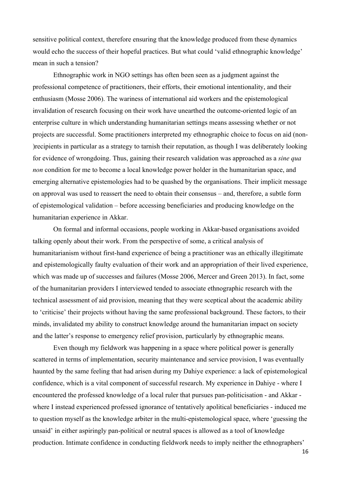sensitive political context, therefore ensuring that the knowledge produced from these dynamics would echo the success of their hopeful practices. But what could 'valid ethnographic knowledge' mean in such a tension?

Ethnographic work in NGO settings has often been seen as a judgment against the professional competence of practitioners, their efforts, their emotional intentionality, and their enthusiasm (Mosse 2006). The wariness of international aid workers and the epistemological invalidation of research focusing on their work have unearthed the outcome-oriented logic of an enterprise culture in which understanding humanitarian settings means assessing whether or not projects are successful. Some practitioners interpreted my ethnographic choice to focus on aid (non- )recipients in particular as a strategy to tarnish their reputation, as though I was deliberately looking for evidence of wrongdoing. Thus, gaining their research validation was approached as a *sine qua non* condition for me to become a local knowledge power holder in the humanitarian space, and emerging alternative epistemologies had to be quashed by the organisations. Their implicit message on approval was used to reassert the need to obtain their consensus – and, therefore, a subtle form of epistemological validation – before accessing beneficiaries and producing knowledge on the humanitarian experience in Akkar.

On formal and informal occasions, people working in Akkar-based organisations avoided talking openly about their work. From the perspective of some, a critical analysis of humanitarianism without first-hand experience of being a practitioner was an ethically illegitimate and epistemologically faulty evaluation of their work and an appropriation of their lived experience, which was made up of successes and failures (Mosse 2006, Mercer and Green 2013). In fact, some of the humanitarian providers I interviewed tended to associate ethnographic research with the technical assessment of aid provision, meaning that they were sceptical about the academic ability to 'criticise' their projects without having the same professional background. These factors, to their minds, invalidated my ability to construct knowledge around the humanitarian impact on society and the latter's response to emergency relief provision, particularly by ethnographic means.

Even though my fieldwork was happening in a space where political power is generally scattered in terms of implementation, security maintenance and service provision, I was eventually haunted by the same feeling that had arisen during my Dahiye experience: a lack of epistemological confidence, which is a vital component of successful research. My experience in Dahiye - where I encountered the professed knowledge of a local ruler that pursues pan-politicisation - and Akkar where I instead experienced professed ignorance of tentatively apolitical beneficiaries - induced me to question myself as the knowledge arbiter in the multi-epistemological space, where 'guessing the unsaid' in either aspiringly pan-political or neutral spaces is allowed as a tool of knowledge production. Intimate confidence in conducting fieldwork needs to imply neither the ethnographers'

16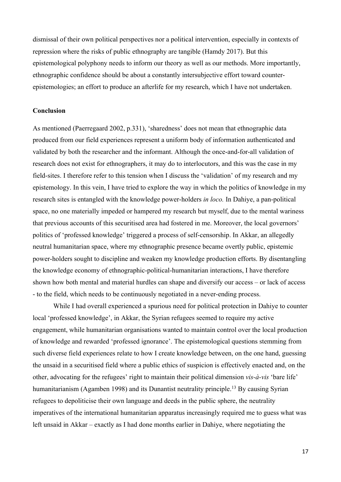dismissal of their own political perspectives nor a political intervention, especially in contexts of repression where the risks of public ethnography are tangible (Hamdy 2017). But this epistemological polyphony needs to inform our theory as well as our methods. More importantly, ethnographic confidence should be about a constantly intersubjective effort toward counterepistemologies; an effort to produce an afterlife for my research, which I have not undertaken.

## **Conclusion**

As mentioned (Paerregaard 2002, p.331), 'sharedness' does not mean that ethnographic data produced from our field experiences represent a uniform body of information authenticated and validated by both the researcher and the informant. Although the once-and-for-all validation of research does not exist for ethnographers, it may do to interlocutors, and this was the case in my field-sites. I therefore refer to this tension when I discuss the 'validation' of my research and my epistemology. In this vein, I have tried to explore the way in which the politics of knowledge in my research sites is entangled with the knowledge power-holders *in loco.* In Dahiye, a pan-political space, no one materially impeded or hampered my research but myself, due to the mental wariness that previous accounts of this securitised area had fostered in me. Moreover, the local governors' politics of 'professed knowledge' triggered a process of self-censorship. In Akkar, an allegedly neutral humanitarian space, where my ethnographic presence became overtly public, epistemic power-holders sought to discipline and weaken my knowledge production efforts. By disentangling the knowledge economy of ethnographic-political-humanitarian interactions, I have therefore shown how both mental and material hurdles can shape and diversify our access – or lack of access - to the field, which needs to be continuously negotiated in a never-ending process.

While I had overall experienced a spurious need for political protection in Dahiye to counter local 'professed knowledge', in Akkar, the Syrian refugees seemed to require my active engagement, while humanitarian organisations wanted to maintain control over the local production of knowledge and rewarded 'professed ignorance'. The epistemological questions stemming from such diverse field experiences relate to how I create knowledge between, on the one hand, guessing the unsaid in a securitised field where a public ethics of suspicion is effectively enacted and, on the other, advocating for the refugees' right to maintain their political dimension *vis-à-vis* 'bare life' humanitarianism (Agamben 1998) and its Dunantist neutrality principle.<sup>13</sup> By causing Syrian refugees to depoliticise their own language and deeds in the public sphere, the neutrality imperatives of the international humanitarian apparatus increasingly required me to guess what was left unsaid in Akkar – exactly as I had done months earlier in Dahiye, where negotiating the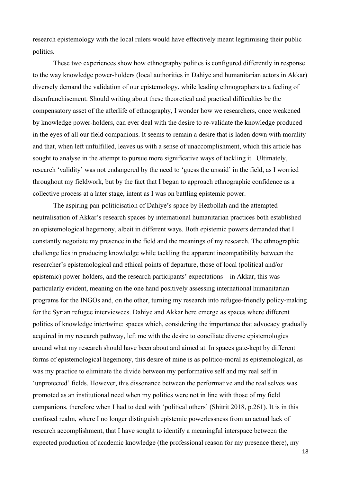research epistemology with the local rulers would have effectively meant legitimising their public politics.

These two experiences show how ethnography politics is configured differently in response to the way knowledge power-holders (local authorities in Dahiye and humanitarian actors in Akkar) diversely demand the validation of our epistemology, while leading ethnographers to a feeling of disenfranchisement. Should writing about these theoretical and practical difficulties be the compensatory asset of the afterlife of ethnography, I wonder how we researchers, once weakened by knowledge power-holders, can ever deal with the desire to re-validate the knowledge produced in the eyes of all our field companions. It seems to remain a desire that is laden down with morality and that, when left unfulfilled, leaves us with a sense of unaccomplishment, which this article has sought to analyse in the attempt to pursue more significative ways of tackling it. Ultimately, research 'validity' was not endangered by the need to 'guess the unsaid' in the field, as I worried throughout my fieldwork, but by the fact that I began to approach ethnographic confidence as a collective process at a later stage, intent as I was on battling epistemic power.

The aspiring pan-politicisation of Dahiye's space by Hezbollah and the attempted neutralisation of Akkar's research spaces by international humanitarian practices both established an epistemological hegemony, albeit in different ways. Both epistemic powers demanded that I constantly negotiate my presence in the field and the meanings of my research. The ethnographic challenge lies in producing knowledge while tackling the apparent incompatibility between the researcher's epistemological and ethical points of departure, those of local (political and/or epistemic) power-holders, and the research participants' expectations – in Akkar, this was particularly evident, meaning on the one hand positively assessing international humanitarian programs for the INGOs and, on the other, turning my research into refugee-friendly policy-making for the Syrian refugee interviewees. Dahiye and Akkar here emerge as spaces where different politics of knowledge intertwine: spaces which, considering the importance that advocacy gradually acquired in my research pathway, left me with the desire to conciliate diverse epistemologies around what my research should have been about and aimed at. In spaces gate-kept by different forms of epistemological hegemony, this desire of mine is as politico-moral as epistemological, as was my practice to eliminate the divide between my performative self and my real self in 'unprotected' fields. However, this dissonance between the performative and the real selves was promoted as an institutional need when my politics were not in line with those of my field companions, therefore when I had to deal with 'political others' (Shitrit 2018, p.261). It is in this confused realm, where I no longer distinguish epistemic powerlessness from an actual lack of research accomplishment, that I have sought to identify a meaningful interspace between the expected production of academic knowledge (the professional reason for my presence there), my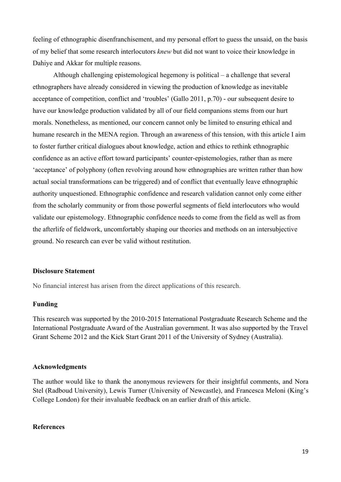feeling of ethnographic disenfranchisement, and my personal effort to guess the unsaid, on the basis of my belief that some research interlocutors *knew* but did not want to voice their knowledge in Dahiye and Akkar for multiple reasons.

Although challenging epistemological hegemony is political – a challenge that several ethnographers have already considered in viewing the production of knowledge as inevitable acceptance of competition, conflict and 'troubles' (Gallo 2011, p.70) - our subsequent desire to have our knowledge production validated by all of our field companions stems from our hurt morals. Nonetheless, as mentioned, our concern cannot only be limited to ensuring ethical and humane research in the MENA region. Through an awareness of this tension, with this article I aim to foster further critical dialogues about knowledge, action and ethics to rethink ethnographic confidence as an active effort toward participants' counter-epistemologies, rather than as mere 'acceptance' of polyphony (often revolving around how ethnographies are written rather than how actual social transformations can be triggered) and of conflict that eventually leave ethnographic authority unquestioned. Ethnographic confidence and research validation cannot only come either from the scholarly community or from those powerful segments of field interlocutors who would validate our epistemology. Ethnographic confidence needs to come from the field as well as from the afterlife of fieldwork, uncomfortably shaping our theories and methods on an intersubjective ground. No research can ever be valid without restitution.

## **Disclosure Statement**

No financial interest has arisen from the direct applications of this research.

## **Funding**

This research was supported by the 2010-2015 International Postgraduate Research Scheme and the International Postgraduate Award of the Australian government. It was also supported by the Travel Grant Scheme 2012 and the Kick Start Grant 2011 of the University of Sydney (Australia).

## **Acknowledgments**

The author would like to thank the anonymous reviewers for their insightful comments, and Nora Stel (Radboud University), Lewis Turner (University of Newcastle), and Francesca Meloni (King's College London) for their invaluable feedback on an earlier draft of this article.

## **References**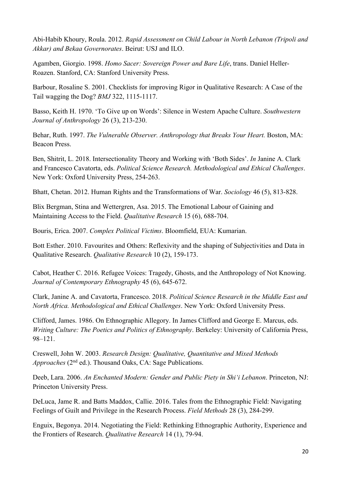Abi-Habib Khoury, Roula. 2012. *Rapid Assessment on Child Labour in North Lebanon (Tripoli and Akkar) and Bekaa Governorates*. Beirut: USJ and ILO.

Agamben, Giorgio. 1998. *Homo Sacer: Sovereign Power and Bare Life*, trans. Daniel Heller-Roazen. Stanford, CA: Stanford University Press.

Barbour, Rosaline S. 2001. Checklists for improving Rigor in Qualitative Research: A Case of the Tail wagging the Dog? *BMJ* 322, 1115-1117.

Basso, Keith H. 1970. 'To Give up on Words': Silence in Western Apache Culture. *Southwestern Journal of Anthropology* 26 (3), 213-230.

Behar, Ruth. 1997. *The Vulnerable Observer. Anthropology that Breaks Your Heart.* Boston, MA: Beacon Press.

Ben, Shitrit, L. 2018. Intersectionality Theory and Working with 'Both Sides'. *In* Janine A. Clark and Francesco Cavatorta, eds. *Political Science Research. Methodological and Ethical Challenges*. New York: Oxford University Press, 254-263.

Bhatt, Chetan. 2012. Human Rights and the Transformations of War. *Sociology* 46 (5), 813-828.

Blix Bergman, Stina and Wettergren, Asa. 2015. The Emotional Labour of Gaining and Maintaining Access to the Field. *Qualitative Research* 15 (6), 688-704.

Bouris, Erica. 2007. *Complex Political Victims*. Bloomfield, EUA: Kumarian.

Bott Esther. 2010. Favourites and Others: Reflexivity and the shaping of Subjectivities and Data in Qualitative Research. *Qualitative Research* 10 (2), 159-173.

Cabot, Heather C. 2016. Refugee Voices: Tragedy, Ghosts, and the Anthropology of Not Knowing. *Journal of Contemporary Ethnography* 45 (6), 645-672.

Clark, Janine A. and Cavatorta, Francesco. 2018. *Political Science Research in the Middle East and North Africa. Methodological and Ethical Challenges*. New York: Oxford University Press.

Clifford, James. 1986. On Ethnographic Allegory. In James Clifford and George E. Marcus, eds. *Writing Culture: The Poetics and Politics of Ethnography*. Berkeley: University of California Press, 98–121.

Creswell, John W. 2003. *Research Design: Qualitative, Quantitative and Mixed Methods Approaches (2<sup>nd</sup> ed.).* Thousand Oaks, CA: Sage Publications.

Deeb, Lara. 2006. *An Enchanted Modern: Gender and Public Piety in Shi'i Lebanon*. Princeton, NJ: Princeton University Press.

DeLuca, Jame R. and Batts Maddox, Callie. 2016. Tales from the Ethnographic Field: Navigating Feelings of Guilt and Privilege in the Research Process. *Field Methods* 28 (3), 284-299.

Enguix, Begonya. 2014. Negotiating the Field: Rethinking Ethnographic Authority, Experience and the Frontiers of Research. *Qualitative Research* 14 (1), 79-94.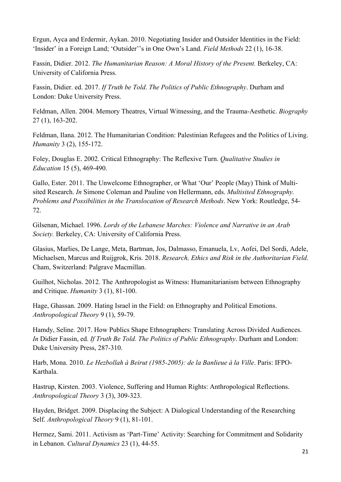Ergun, Ayca and Erdermir, Aykan. 2010. Negotiating Insider and Outsider Identities in the Field: 'Insider' in a Foreign Land; 'Outsider''s in One Own's Land. *Field Methods* 22 (1), 16-38.

Fassin, Didier. 2012. *The Humanitarian Reason: A Moral History of the Present.* Berkeley, CA: University of California Press.

Fassin, Didier. ed. 2017. *If Truth be Told*. *The Politics of Public Ethnography*. Durham and London: Duke University Press.

Feldman, Allen. 2004. Memory Theatres, Virtual Witnessing, and the Trauma-Aesthetic. *Biography* 27 (1), 163-202.

Feldman, Ilana. 2012. The Humanitarian Condition: Palestinian Refugees and the Politics of Living. *Humanity* 3 (2), 155-172.

Foley, Douglas E. 2002. Critical Ethnography: The Reflexive Turn. *Qualitative Studies in Education* 15 (5), 469-490.

Gallo, Ester. 2011. The Unwelcome Ethnographer, or What 'Our' People (May) Think of Multisited Research. *In* Simone Coleman and Pauline von Hellermann, eds. *Multisited Ethnography. Problems and Possibilities in the Translocation of Research Methods*. New York: Routledge, 54- 72.

Gilsenan, Michael. 1996. *Lords of the Lebanese Marches: Violence and Narrative in an Arab Society.* Berkeley, CA: University of California Press.

Glasius, Marlies, De Lange, Meta, Bartman, Jos, Dalmasso, Emanuela, Lv, Aofei, Del Sordi, Adele, Michaelsen, Marcus and Ruijgrok, Kris. 2018. *Research, Ethics and Risk in the Authoritarian Field*. Cham, Switzerland: Palgrave Macmillan.

Guilhot, Nicholas. 2012. The Anthropologist as Witness: Humanitarianism between Ethnography and Critique. *Humanity* 3 (1), 81-100.

Hage, Ghassan. 2009. Hating Israel in the Field: on Ethnography and Political Emotions. *Anthropological Theory* 9 (1), 59-79.

Hamdy, Seline. 2017. How Publics Shape Ethnographers: Translating Across Divided Audiences. *In* Didier Fassin, ed. *If Truth Be Told. The Politics of Public Ethnography*. Durham and London: Duke University Press, 287-310.

Harb, Mona. 2010. *Le Hezbollah à Beirut (1985-2005): de la Banlieue à la Ville*. Paris: IFPO-Karthala.

Hastrup, Kirsten. 2003. Violence, Suffering and Human Rights: Anthropological Reflections. *Anthropological Theory* 3 (3), 309-323.

Hayden, Bridget. 2009. Displacing the Subject: A Dialogical Understanding of the Researching Self. *Anthropological Theory* 9 (1), 81-101.

Hermez, Sami. 2011. Activism as 'Part-Time' Activity: Searching for Commitment and Solidarity in Lebanon. *Cultural Dynamics* 23 (1), 44-55.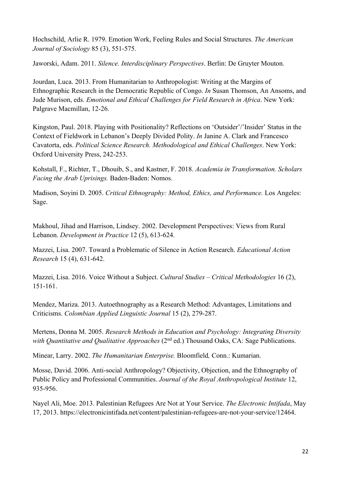Hochschild, Arlie R. 1979. Emotion Work, Feeling Rules and Social Structures. *The American Journal of Sociology* 85 (3), 551-575.

Jaworski, Adam. 2011. *Silence. Interdisciplinary Perspectives*. Berlin: De Gruyter Mouton.

Jourdan, Luca. 2013. From Humanitarian to Anthropologist: Writing at the Margins of Ethnographic Research in the Democratic Republic of Congo. *In* Susan Thomson, An Ansoms, and Jude Murison, eds. *Emotional and Ethical Challenges for Field Research in Africa*. New York: Palgrave Macmillan, 12-26.

Kingston, Paul. 2018. Playing with Positionality? Reflections on 'Outsider'/'Insider' Status in the Context of Fieldwork in Lebanon's Deeply Divided Polity. *In* Janine A. Clark and Francesco Cavatorta, eds. *Political Science Research. Methodological and Ethical Challenges*. New York: Oxford University Press, 242-253.

Kohstall, F., Richter, T., Dhouib, S., and Kastner, F. 2018. *Academia in Transformation. Scholars Facing the Arab Uprisings.* Baden-Baden: Nomos.

Madison, Soyini D. 2005. *Critical Ethnography: Method, Ethics, and Performance.* Los Angeles: Sage.

Makhoul, Jihad and Harrison, Lindsey. 2002. Development Perspectives: Views from Rural Lebanon. *Development in Practice* 12 (5), 613-624.

Mazzei, Lisa. 2007. Toward a Problematic of Silence in Action Research. *Educational Action Research* 15 (4), 631-642.

Mazzei, Lisa. 2016. Voice Without a Subject. *Cultural Studies – Critical Methodologies* 16 (2), 151-161.

Mendez, Mariza. 2013. Autoethnography as a Research Method: Advantages, Limitations and Criticisms. *Colombian Applied Linguistic Journal* 15 (2), 279-287.

Mertens, Donna M. 2005. *Research Methods in Education and Psychology: Integrating Diversity with Quantitative and Qualitative Approaches* (2<sup>nd</sup> ed.) Thousand Oaks, CA: Sage Publications.

Minear, Larry. 2002. *The Humanitarian Enterprise.* Bloomfield*,* Conn.: Kumarian.

Mosse, David. 2006. Anti-social Anthropology? Objectivity, Objection, and the Ethnography of Public Policy and Professional Communities. *Journal of the Royal Anthropological Institute* 12, 935-956.

Nayel Ali, Moe. 2013. Palestinian Refugees Are Not at Your Service. *The Electronic Intifada*, May 17, 2013. https://electronicintifada.net/content/palestinian-refugees-are-not-your-service/12464.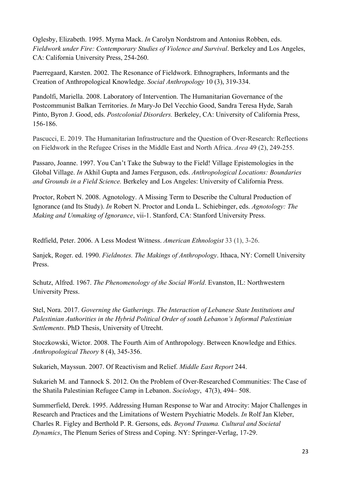Oglesby, Elizabeth. 1995. Myrna Mack. *In* Carolyn Nordstrom and Antonius Robben, eds. *Fieldwork under Fire: Contemporary Studies of Violence and Survival*. Berkeley and Los Angeles, CA: California University Press, 254-260.

Paerregaard, Karsten. 2002. The Resonance of Fieldwork. Ethnographers, Informants and the Creation of Anthropological Knowledge. *Social Anthropology* 10 (3), 319-334.

Pandolfi, Mariella. 2008. Laboratory of Intervention. The Humanitarian Governance of the Postcommunist Balkan Territories. *In* Mary-Jo Del Vecchio Good, Sandra Teresa Hyde, Sarah Pinto, Byron J. Good, eds. *Postcolonial Disorders.* Berkeley, CA: University of California Press, 156-186.

Pascucci, E. 2019. The Humanitarian Infrastructure and the Question of Over‐Research: Reflections on Fieldwork in the Refugee Crises in the Middle East and North Africa. *Area* 49 (2), 249-255.

Passaro, Joanne. 1997. You Can't Take the Subway to the Field! Village Epistemologies in the Global Village. *In* Akhil Gupta and James Ferguson, eds. *Anthropological Locations: Boundaries and Grounds in a Field Science.* Berkeley and Los Angeles: University of California Press.

Proctor, Robert N. 2008. Agnotology. A Missing Term to Describe the Cultural Production of Ignorance (and Its Study). *In* Robert N. Proctor and Londa L. Schiebinger, eds. *Agnotology: The Making and Unmaking of Ignorance*, vii-1. Stanford, CA: Stanford University Press.

Redfield, Peter. 2006. A Less Modest Witness. *American Ethnologist* 33 (1), 3-26.

Sanjek, Roger. ed. 1990. *Fieldnotes. The Makings of Anthropology*. Ithaca, NY: Cornell University Press.

Schutz, Alfred. 1967. *The Phenomenology of the Social World*. Evanston, IL: Northwestern University Press.

Stel, Nora. 2017. *Governing the Gatherings. The Interaction of Lebanese State Institutions and Palestinian Authorities in the Hybrid Political Order of south Lebanon's Informal Palestinian Settlements*. PhD Thesis, University of Utrecht.

Stoczkowski, Wictor. 2008. The Fourth Aim of Anthropology. Between Knowledge and Ethics. *Anthropological Theory* 8 (4), 345-356.

Sukarieh, Mayssun. 2007. Of Reactivism and Relief. *Middle East Report* 244.

Sukarieh M. and Tannock S. 2012. On the Problem of Over‐Researched Communities: The Case of the Shatila Palestinian Refugee Camp in Lebanon. *Sociology*, 47(3), 494– 508.

Summerfield, Derek. 1995. Addressing Human Response to War and Atrocity: Major Challenges in Research and Practices and the Limitations of Western Psychiatric Models. *In* Rolf Jan Kleber, Charles R. Figley and Berthold P. R. Gersons, eds. *Beyond Trauma. Cultural and Societal Dynamics*, The Plenum Series of Stress and Coping. NY: Springer-Verlag, 17-29.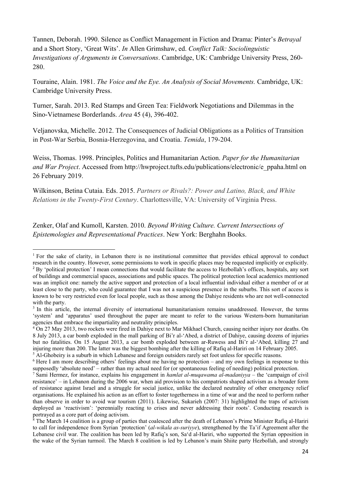Tannen, Deborah. 1990. Silence as Conflict Management in Fiction and Drama: Pinter's *Betrayal* and a Short Story, 'Great Wits'. *In* Allen Grimshaw, ed. *Conflict Talk: Sociolinguistic Investigations of Arguments in Conversations*. Cambridge, UK: Cambridge University Press, 260- 280.

Touraine, Alain. 1981. *The Voice and the Eye. An Analysis of Social Movements.* Cambridge, UK: Cambridge University Press.

Turner, Sarah. 2013. Red Stamps and Green Tea: Fieldwork Negotiations and Dilemmas in the Sino-Vietnamese Borderlands. *Area* 45 (4), 396-402.

Veljanovska, Michelle. 2012. The Consequences of Judicial Obligations as a Politics of Transition in Post-War Serbia, Bosnia-Herzegovina, and Croatia. *Temida*, 179-204.

Weiss, Thomas. 1998. Principles, Politics and Humanitarian Action. *Paper for the Humanitarian and War Project*. Accessed from http://hwproject.tufts.edu/publications/electronic/e\_ppaha.html on 26 February 2019.

Wilkinson, Betina Cutaia. Eds. 2015. *Partners or Rivals?: Power and Latino, Black, and White Relations in the Twenty-First Century*. Charlottesville, VA: University of Virginia Press.

Zenker, Olaf and Kumoll, Karsten. 2010. *Beyond Writing Culture. Current Intersections of Epistemologies and Representational Practices*. New York: Berghahn Books.

<sup>&</sup>lt;sup>1</sup> For the sake of clarity, in Lebanon there is no institutional committee that provides ethical approval to conduct research in the country. However, some permissions to work in specific places may be requested implicitly or explicitly. <sup>2</sup> By 'political protection' I mean connections that would facilitate the access to Hezbollah's offices, hospitals, any sort of buildings and commercial spaces, associations and public spaces. The political protection local academics mentioned was an implicit one: namely the active support and protection of a local influential individual either a member of or at least close to the party, who could guarantee that I was not a suspicious presence in the suburbs. This sort of access is known to be very restricted even for local people, such as those among the Dahiye residents who are not well-connected with the party.

<sup>&</sup>lt;sup>3</sup> In this article, the internal diversity of international humanitarianism remains unaddressed. However, the terms 'system' and 'apparatus' used throughout the paper are meant to refer to the various Western-born humanitarian agencies that embrace the impartiality and neutrality principles.

<sup>&</sup>lt;sup>4</sup> On 27 May 2013, two rockets were fired in Dahiye next to Mar Mikhael Church, causing neither injury nor deaths. On 8 July 2013, a car bomb exploded in the mall parking of Bi'r al-'Abed, a district of Dahiye, causing dozens of injuries but no fatalities. On 15 August 2013, a car bomb exploded between ar-Ruwess and Bi'r al-'Abed, killing 27 and injuring more than 200. The latter was the biggest bombing after the killing of Rafiq al-Hariri on 14 February 2005.

<sup>&</sup>lt;sup>5</sup> Al-Ghobeiry is a suburb in which Lebanese and foreign outsiders rarely set foot unless for specific reasons.

<sup>6</sup> Here I am more describing others' feelings about me having no protection – and my own feelings in response to this supposedly 'absolute need' – rather than my actual need for (or spontaneous feeling of needing) political protection.

<sup>7</sup> Sami Hermez, for instance, explains his engagement in *hamlat al-muqawama al-madaniyya –* the 'campaign of civil resistance' *–* in Lebanon during the 2006 war, when aid provision to his compatriots shaped activism as a broader form of resistance against Israel and a struggle for social justice, unlike the declared neutrality of other emergency relief organisations. He explained his action as an effort to foster togetherness in a time of war and the need to perform rather than observe in order to avoid war tourism (2011). Likewise, Sukarieh (2007: 31) highlighted the traps of activism deployed as 'reactivism': 'perennially reacting to crises and never addressing their roots'. Conducting research is portrayed as a core part of doing activism.

 $\frac{8}{3}$  The March 14 coalition is a group of parties that coalesced after the death of Lebanon's Prime Minister Rafiq al-Hariri to call for independence from Syrian 'protection' (*al-wikala as-suriyye*), strengthened by the Ta'if Agreement after the Lebanese civil war. The coalition has been led by Rafiq's son, Sa'd al-Hariri, who supported the Syrian opposition in the wake of the Syrian turmoil. The March 8 coalition is led by Lebanon's main Shiite party Hezbollah, and strongly